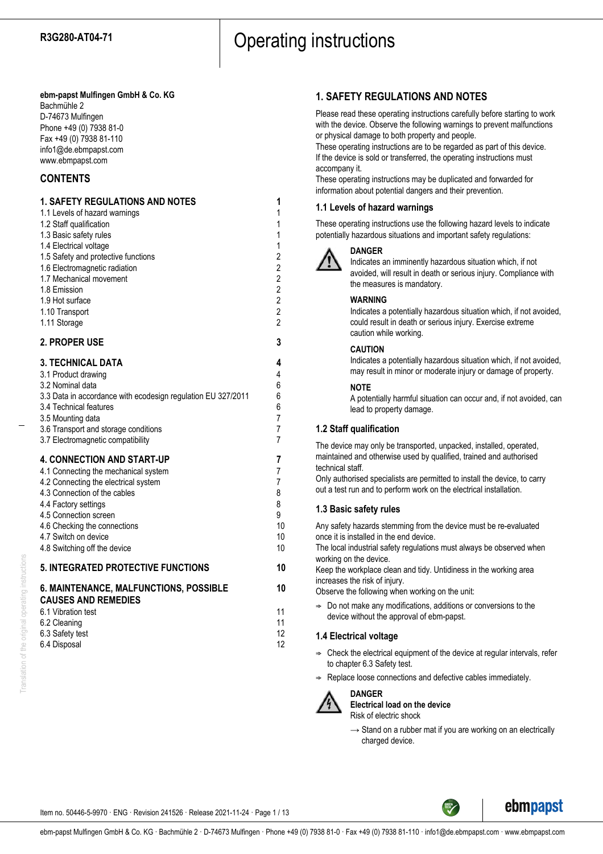## **ebm-papst Mulfingen GmbH & Co. KG**

Bachmühle 2 D-74673 Mulfingen Phone +49 (0) 7938 81-0 Fax +49 (0) 7938 81-110 info1@de.ebmpapst.com www.ebmpapst.com

## **CONTENTS**

## **1. SAFETY REGULATIONS AND NOTES 1**

| 1.1 Levels of hazard warnings       |   |
|-------------------------------------|---|
| 1.2 Staff qualification             |   |
| 1.3 Basic safety rules              | 1 |
| 1.4 Electrical voltage              |   |
| 1.5 Safety and protective functions | 2 |
| 1.6 Electromagnetic radiation       | 2 |
| 1.7 Mechanical movement             | 2 |
| 1.8 Emission                        | 2 |
| 1.9 Hot surface                     | 2 |
| 1.10 Transport                      | 2 |
| 1.11 Storage                        | 2 |
|                                     |   |

## **2. PROPER USE 3**

**CAUSES AND REMEDIES**

| <b>3. TECHNICAL DATA</b>                                     | 4              |
|--------------------------------------------------------------|----------------|
| 3.1 Product drawing                                          | 4              |
| 3.2 Nominal data                                             | 6              |
| 3.3 Data in accordance with ecodesign regulation EU 327/2011 | 6              |
| 3.4 Technical features                                       | 6              |
| 3.5 Mounting data                                            | $\overline{7}$ |
| 3.6 Transport and storage conditions                         | 7              |
| 3.7 Electromagnetic compatibility                            | 7              |
| <b>4. CONNECTION AND START-UP</b>                            | 7              |
| 4.1 Connecting the mechanical system                         | 7              |
| 4.2 Connecting the electrical system                         | 7              |
| 4.3 Connection of the cables                                 | 8              |
| 4.4 Factory settings                                         | 8              |
| 4.5 Connection screen                                        | 9              |
| 4.6 Checking the connections                                 | 10             |
| 4.7 Switch on device                                         | 10             |
| 4.8 Switching off the device                                 | 10             |
| <b>5. INTEGRATED PROTECTIVE FUNCTIONS</b>                    | 10             |
| <b>6. MAINTENANCE, MALFUNCTIONS, POSSIBLE</b>                | 10             |

6.1 Vibration test 11 6.2 Cleaning 11 6.3 Safety test 12 6.4 Disposal 12

## **1. SAFETY REGULATIONS AND NOTES**

Please read these operating instructions carefully before starting to work with the device. Observe the following warnings to prevent malfunctions or physical damage to both property and people.

These operating instructions are to be regarded as part of this device. If the device is sold or transferred, the operating instructions must accompany it.

These operating instructions may be duplicated and forwarded for information about potential dangers and their prevention.

## **1.1 Levels of hazard warnings**

These operating instructions use the following hazard levels to indicate potentially hazardous situations and important safety regulations:



#### **DANGER**

Indicates an imminently hazardous situation which, if not avoided, will result in death or serious injury. Compliance with the measures is mandatory.

#### **WARNING**

Indicates a potentially hazardous situation which, if not avoided, could result in death or serious injury. Exercise extreme caution while working.

## **CAUTION**

Indicates a potentially hazardous situation which, if not avoided, may result in minor or moderate injury or damage of property.

#### **NOTE**

A potentially harmful situation can occur and, if not avoided, can lead to property damage.

## **1.2 Staff qualification**

The device may only be transported, unpacked, installed, operated, maintained and otherwise used by qualified, trained and authorised technical staff.

Only authorised specialists are permitted to install the device, to carry out a test run and to perform work on the electrical installation.

## **1.3 Basic safety rules**

Any safety hazards stemming from the device must be re-evaluated once it is installed in the end device.

The local industrial safety regulations must always be observed when working on the device.

Keep the workplace clean and tidy. Untidiness in the working area increases the risk of injury.

Observe the following when working on the unit:

 $\Rightarrow$  Do not make any modifications, additions or conversions to the device without the approval of ebm-papst.

## **1.4 Electrical voltage**

- $\Rightarrow$  Check the electrical equipment of the device at regular intervals, refer to chapter 6.3 Safety test.
- Replace loose connections and defective cables immediately.



**DANGER Electrical load on the device**

Risk of electric shock

 $\rightarrow$  Stand on a rubber mat if you are working on an electrically charged device.

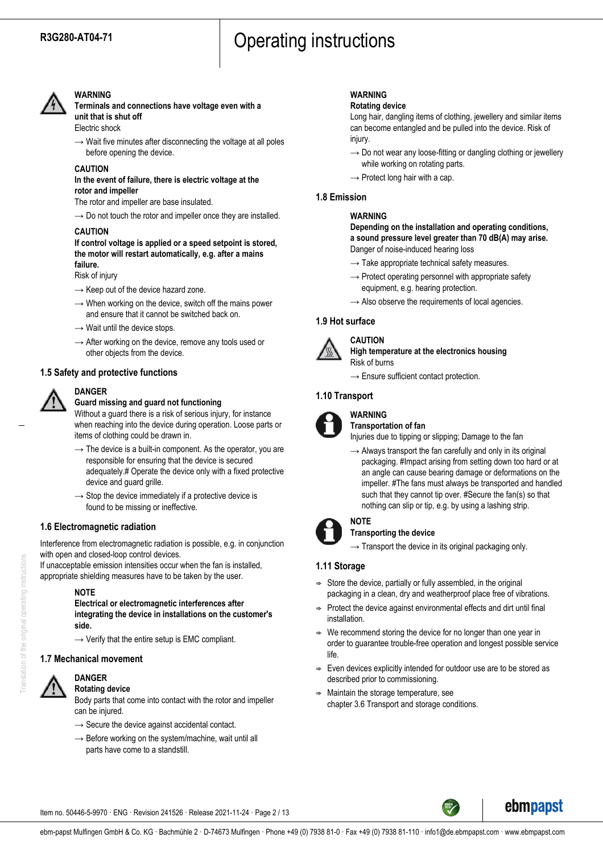

### **WARNING**

**Terminals and connections have voltage even with a unit that is shut off** Electric shock

 $\rightarrow$  Wait five minutes after disconnecting the voltage at all poles before opening the device.

#### **CAUTION**

#### **In the event of failure, there is electric voltage at the rotor and impeller**

The rotor and impeller are base insulated.

 $\rightarrow$  Do not touch the rotor and impeller once they are installed.

#### **CAUTION**

**If control voltage is applied or a speed setpoint is stored, the motor will restart automatically, e.g. after a mains failure.**

#### Risk of injury

- $\rightarrow$  Keep out of the device hazard zone.
- $\rightarrow$  When working on the device, switch off the mains power and ensure that it cannot be switched back on.
- $\rightarrow$  Wait until the device stops.
- $\rightarrow$  After working on the device, remove any tools used or other objects from the device.

#### **1.5 Safety and protective functions**



#### **Guard missing and guard not functioning**

Without a guard there is a risk of serious injury, for instance when reaching into the device during operation. Loose parts or items of clothing could be drawn in.

- $\rightarrow$  The device is a built-in component. As the operator, you are responsible for ensuring that the device is secured adequately.# Operate the device only with a fixed protective device and guard grille.
- $\rightarrow$  Stop the device immediately if a protective device is found to be missing or ineffective.

## **1.6 Electromagnetic radiation**

Interference from electromagnetic radiation is possible, e.g. in conjunction with open and closed-loop control devices.

If unacceptable emission intensities occur when the fan is installed, appropriate shielding measures have to be taken by the user.

#### **NOTE**

**Electrical or electromagnetic interferences after integrating the device in installations on the customer's side.**

 $\rightarrow$  Verify that the entire setup is EMC compliant.

## **1.7 Mechanical movement**



#### **DANGER Rotating device**

Body parts that come into contact with the rotor and impeller can be injured.

- $\rightarrow$  Secure the device against accidental contact.
- $\rightarrow$  Before working on the system/machine, wait until all parts have come to a standstill.

## **WARNING**

#### **Rotating device**

Long hair, dangling items of clothing, jewellery and similar items can become entangled and be pulled into the device. Risk of injury.

- $\rightarrow$  Do not wear any loose-fitting or dangling clothing or jewellery while working on rotating parts.
- $\rightarrow$  Protect long hair with a cap.

#### **1.8 Emission**

#### **WARNING**

**Depending on the installation and operating conditions, a sound pressure level greater than 70 dB(A) may arise.** Danger of noise-induced hearing loss

- $\rightarrow$  Take appropriate technical safety measures.
- $\rightarrow$  Protect operating personnel with appropriate safety equipment, e.g. hearing protection.
- $\rightarrow$  Also observe the requirements of local agencies.

## **1.9 Hot surface**



#### **CAUTION High temperature at the electronics housing** Risk of burns

 $\rightarrow$  Ensure sufficient contact protection.

#### **1.10 Transport**



#### **WARNING Transportation of fan**

Injuries due to tipping or slipping; Damage to the fan

 $\rightarrow$  Always transport the fan carefully and only in its original packaging. #Impact arising from setting down too hard or at an angle can cause bearing damage or deformations on the impeller. #The fans must always be transported and handled such that they cannot tip over. #Secure the fan(s) so that nothing can slip or tip, e.g. by using a lashing strip.



#### **NOTE Transporting the device**

 $\rightarrow$  Transport the device in its original packaging only.

## **1.11 Storage**

- $\Rightarrow$  Store the device, partially or fully assembled, in the original packaging in a clean, dry and weatherproof place free of vibrations.
- $\Rightarrow$  Protect the device against environmental effects and dirt until final installation.
- $\Rightarrow$  We recommend storing the device for no longer than one year in order to guarantee trouble-free operation and longest possible service life.
- Even devices explicitly intended for outdoor use are to be stored as described prior to commissioning.
- Maintain the storage temperature, see chapter 3.6 Transport and storage conditions.

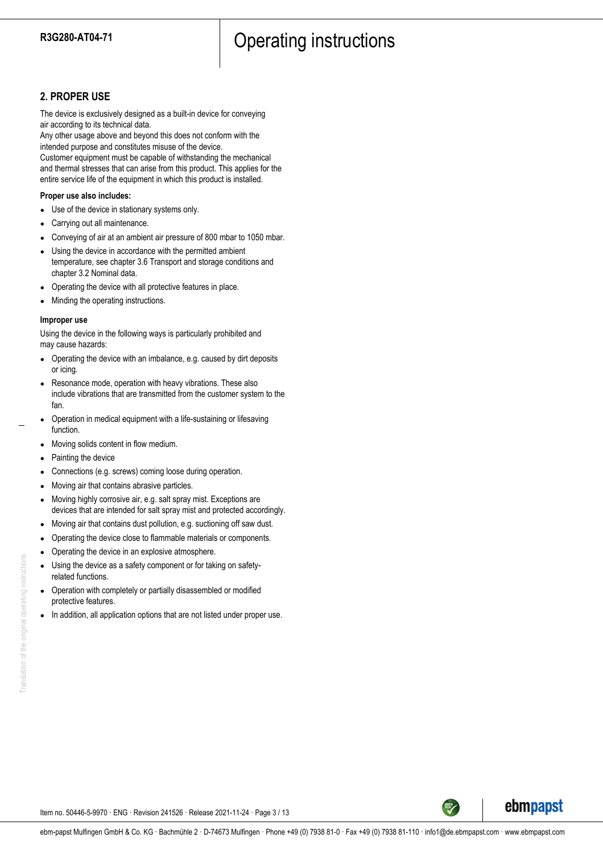## **2. PROPER USE**

The device is exclusively designed as a built-in device for conveying air according to its technical data.

Any other usage above and beyond this does not conform with the intended purpose and constitutes misuse of the device.

Customer equipment must be capable of withstanding the mechanical and thermal stresses that can arise from this product. This applies for the entire service life of the equipment in which this product is installed.

## **Proper use also includes:**

- Use of the device in stationary systems only.
- Carrying out all maintenance.
- Conveying of air at an ambient air pressure of 800 mbar to 1050 mbar.
- Using the device in accordance with the permitted ambient temperature, see chapter 3.6 Transport and storage conditions and chapter 3.2 Nominal data.
- Operating the device with all protective features in place.
- Minding the operating instructions.

#### **Improper use**

Using the device in the following ways is particularly prohibited and may cause hazards:

- Operating the device with an imbalance, e.g. caused by dirt deposits or icing.
- Resonance mode, operation with heavy vibrations. These also include vibrations that are transmitted from the customer system to the fan.
- Operation in medical equipment with a life-sustaining or lifesaving function.
- Moving solids content in flow medium.
- Painting the device
- Connections (e.g. screws) coming loose during operation.
- Moving air that contains abrasive particles.
- Moving highly corrosive air, e.g. salt spray mist. Exceptions are devices that are intended for salt spray mist and protected accordingly.
- Moving air that contains dust pollution, e.g. suctioning off saw dust.
- Operating the device close to flammable materials or components.
- Operating the device in an explosive atmosphere.
- Using the device as a safety component or for taking on safetyrelated functions.
- Operation with completely or partially disassembled or modified protective features.
- In addition, all application options that are not listed under proper use.

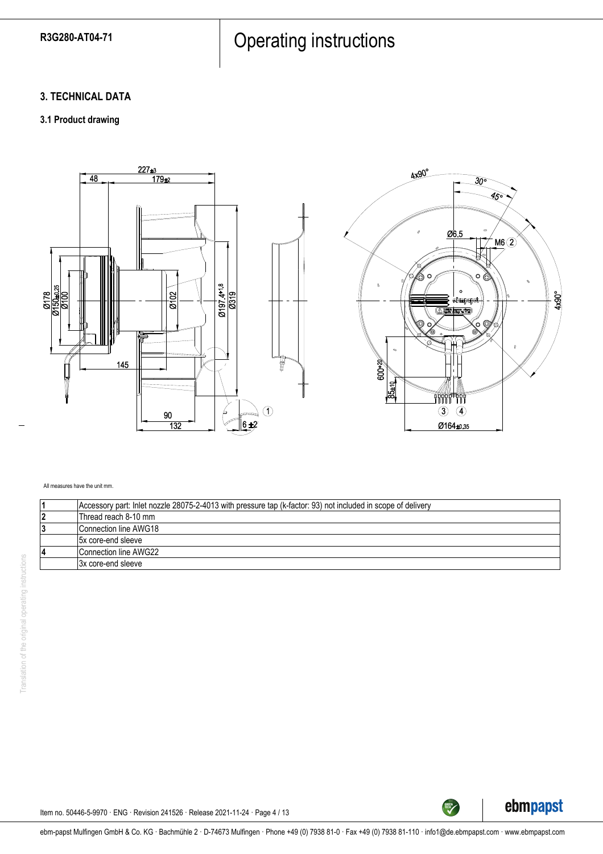## **3. TECHNICAL DATA**

## **3.1 Product drawing**



#### All measures have the unit mm.

| Accessory part: Inlet nozzle 28075-2-4013 with pressure tap (k-factor: 93) not included in scope of delivery |
|--------------------------------------------------------------------------------------------------------------|
| Thread reach 8-10 mm                                                                                         |
| Connection line AWG18                                                                                        |
| 15x core-end sleeve                                                                                          |
| Connection line AWG22                                                                                        |
| 13x core-end sleeve                                                                                          |



TECH

Item no. 50446-5-9970 · ENG · Revision 241526 · Release 2021-11-24 · Page 4 / 13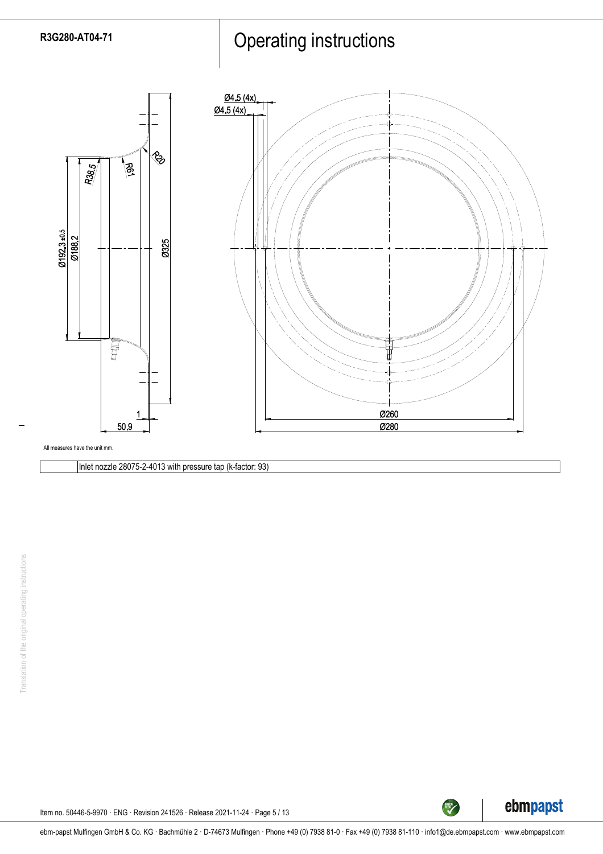



Inlet nozzle 28075-2-4013 with pressure tap (k-factor: 93)



TECH

Item no. 50446-5-9970 · ENG · Revision 241526 · Release 2021-11-24 · Page 5 / 13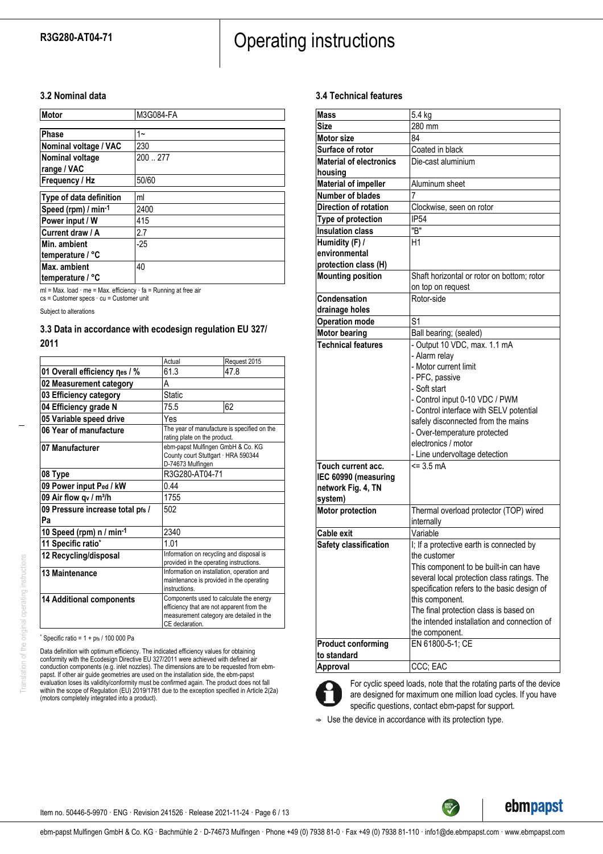## **3.2 Nominal data**

| Motor                   | M3G084-FA |
|-------------------------|-----------|
| Phase                   | $1 -$     |
| Nominal voltage / VAC   | 230       |
| <b>Nominal voltage</b>  | 200  277  |
| range / VAC             |           |
| Frequency / Hz          | 50/60     |
| Type of data definition | ml        |
| Speed (rpm) / min-1     | 2400      |
| Power input / W         | 415       |
| Current draw / A        | 2.7       |
| Min. ambient            | $-25$     |
| temperature / °C        |           |
| Max. ambient            | 40        |
| temperature / °C        |           |

ml = Max. load · me = Max. efficiency · fa = Running at free air

cs = Customer specs · cu = Customer unit

Subject to alterations

## **3.3 Data in accordance with ecodesign regulation EU 327/**

#### **2011**

|                                    | Actual                                                                                                                                              | Request 2015 |
|------------------------------------|-----------------------------------------------------------------------------------------------------------------------------------------------------|--------------|
| 01 Overall efficiency nes / %      | 61.3                                                                                                                                                | 47.8         |
| 02 Measurement category            | А                                                                                                                                                   |              |
| 03 Efficiency category             | <b>Static</b>                                                                                                                                       |              |
| 04 Efficiency grade N              | 75.5                                                                                                                                                | 62           |
| 05 Variable speed drive            | Yes                                                                                                                                                 |              |
| 06 Year of manufacture             | The year of manufacture is specified on the<br>rating plate on the product.                                                                         |              |
| 07 Manufacturer                    | ebm-papst Mulfingen GmbH & Co. KG<br>County court Stuttgart · HRA 590344<br>D-74673 Mulfingen                                                       |              |
| 08 Type                            | R3G280-AT04-71                                                                                                                                      |              |
| 09 Power input Ped / kW            | 0.44                                                                                                                                                |              |
| 09 Air flow qv / m <sup>3</sup> /h | 1755                                                                                                                                                |              |
| 09 Pressure increase total pfs /   | 502                                                                                                                                                 |              |
| Pa                                 |                                                                                                                                                     |              |
| 10 Speed (rpm) n / min-1           | 2340                                                                                                                                                |              |
| 11 Specific ratio*                 | 1.01                                                                                                                                                |              |
| 12 Recycling/disposal              | Information on recycling and disposal is<br>provided in the operating instructions.                                                                 |              |
| 13 Maintenance                     | Information on installation, operation and<br>maintenance is provided in the operating<br>instructions.                                             |              |
| <b>14 Additional components</b>    | Components used to calculate the energy<br>efficiency that are not apparent from the<br>measurement category are detailed in the<br>CE declaration. |              |

 $*$  Specific ratio = 1 + pfs / 100 000 Pa

Data definition with optimum efficiency. The indicated efficiency values for obtaining<br>conformity with the Ecodesign Directive EU 327/2011 were achieved with defined air<br>conduction components (e.g. inlet nozzles). The dime papst. If other air guide geometries are used on the installation side, the ebm-papst evaluation loses its validity/conformity must be confirmed again. The product does not fall within the scope of Regulation (EU) 2019/1781 due to the exception specified in Article 2(2a) (motors completely integrated into a product).

## **3.4 Technical features**

| <b>Mass</b>                    | 5.4 kg                                      |
|--------------------------------|---------------------------------------------|
| <b>Size</b>                    | 280 mm                                      |
| <b>Motor size</b>              | 84                                          |
| Surface of rotor               | Coated in black                             |
| <b>Material of electronics</b> | Die-cast aluminium                          |
| housing                        |                                             |
| <b>Material of impeller</b>    | Aluminum sheet                              |
| <b>Number of blades</b>        |                                             |
| <b>Direction of rotation</b>   | Clockwise, seen on rotor                    |
| Type of protection             | <b>IP54</b>                                 |
| <b>Insulation class</b>        | "B"                                         |
| Humidity (F) /                 | H1                                          |
| environmental                  |                                             |
| protection class (H)           |                                             |
| <b>Mounting position</b>       | Shaft horizontal or rotor on bottom; rotor  |
|                                | on top on request                           |
| Condensation                   | Rotor-side                                  |
| drainage holes                 |                                             |
| <b>Operation mode</b>          | S <sub>1</sub>                              |
| <b>Motor bearing</b>           | Ball bearing; (sealed)                      |
| <b>Technical features</b>      | - Output 10 VDC, max. 1.1 mA                |
|                                | - Alarm relay                               |
|                                | - Motor current limit                       |
|                                | - PFC, passive                              |
|                                | - Soft start                                |
|                                | - Control input 0-10 VDC / PWM              |
|                                | - Control interface with SELV potential     |
|                                | safely disconnected from the mains          |
|                                | - Over-temperature protected                |
|                                | electronics / motor                         |
|                                | - Line undervoltage detection               |
| Touch current acc.             | $= 3.5 \text{ mA}$                          |
| IEC 60990 (measuring           |                                             |
| network Fig. 4, TN             |                                             |
| system)                        |                                             |
| <b>Motor protection</b>        | Thermal overload protector (TOP) wired      |
|                                | internally                                  |
| <b>Cable exit</b>              | Variable                                    |
| Safety classification          | I; If a protective earth is connected by    |
|                                | the customer                                |
|                                | This component to be built-in can have      |
|                                | several local protection class ratings. The |
|                                | specification refers to the basic design of |
|                                | this component.                             |
|                                | The final protection class is based on      |
|                                | the intended installation and connection of |
|                                | the component.                              |
| <b>Product conforming</b>      | EN 61800-5-1; CE                            |
| to standard                    |                                             |
| Approval                       | CCC; EAC                                    |



For cyclic speed loads, note that the rotating parts of the device are designed for maximum one million load cycles. If you have specific questions, contact ebm-papst for support.

TECH<sup>TECH</sup>

 $\Rightarrow$  Use the device in accordance with its protection type.

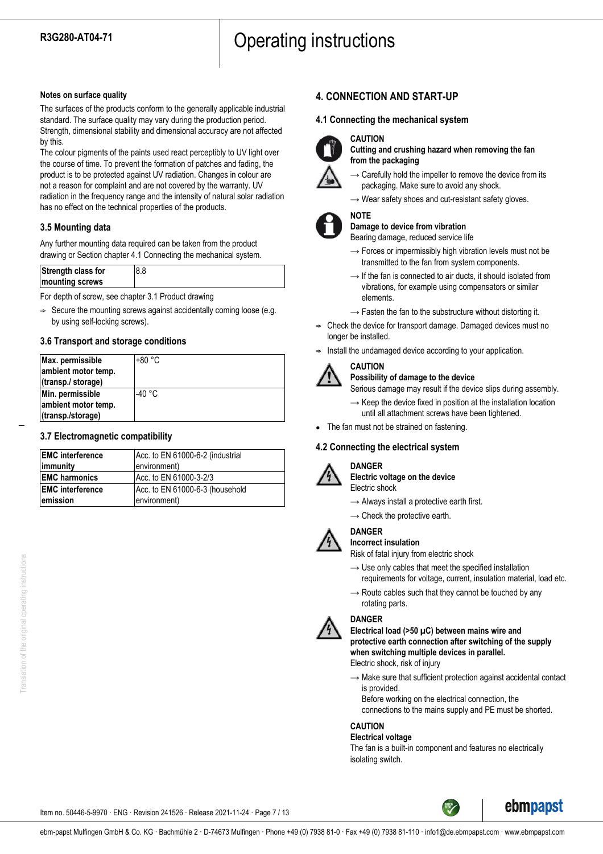### **Notes on surface quality**

The surfaces of the products conform to the generally applicable industrial standard. The surface quality may vary during the production period. Strength, dimensional stability and dimensional accuracy are not affected by this.

The colour pigments of the paints used react perceptibly to UV light over the course of time. To prevent the formation of patches and fading, the product is to be protected against UV radiation. Changes in colour are not a reason for complaint and are not covered by the warranty. UV radiation in the frequency range and the intensity of natural solar radiation has no effect on the technical properties of the products.

## **3.5 Mounting data**

Any further mounting data required can be taken from the product drawing or Section chapter 4.1 Connecting the mechanical system.

| Strength class for | 8.8 |
|--------------------|-----|
| mounting screws    |     |

For depth of screw, see chapter 3.1 Product drawing

 $\Rightarrow$  Secure the mounting screws against accidentally coming loose (e.g. by using self-locking screws).

## **3.6 Transport and storage conditions**

| Max. permissible<br>ambient motor temp.<br>(transp./ storage) | '+80 °C          |
|---------------------------------------------------------------|------------------|
| Min. permissible<br>ambient motor temp.<br>(transp./storage)  | -40 $^{\circ}$ C |

## **3.7 Electromagnetic compatibility**

| <b>EMC</b> interference | Acc. to EN 61000-6-2 (industrial |
|-------------------------|----------------------------------|
| immunity                | environment)                     |
| <b>EMC harmonics</b>    | Acc. to EN 61000-3-2/3           |
| <b>EMC</b> interference | Acc. to EN 61000-6-3 (household  |
| emission                | environment)                     |

## **4. CONNECTION AND START-UP**

**CAUTION**

## **4.1 Connecting the mechanical system**



**Cutting and crushing hazard when removing the fan from the packaging**

- $\rightarrow$  Carefully hold the impeller to remove the device from its packaging. Make sure to avoid any shock.
- $\rightarrow$  Wear safety shoes and cut-resistant safety gloves.



#### **NOTE Damage to device from vibration**

Bearing damage, reduced service life

- $\rightarrow$  Forces or impermissibly high vibration levels must not be transmitted to the fan from system components.
- $\rightarrow$  If the fan is connected to air ducts, it should isolated from vibrations, for example using compensators or similar elements.
- $\rightarrow$  Fasten the fan to the substructure without distorting it.
- $\Rightarrow$  Check the device for transport damage. Damaged devices must no longer be installed.
- Install the undamaged device according to your application.



## **CAUTION**

#### **Possibility of damage to the device**

Serious damage may result if the device slips during assembly.

- $\rightarrow$  Keep the device fixed in position at the installation location until all attachment screws have been tightened.
- The fan must not be strained on fastening.

## **4.2 Connecting the electrical system**



## **DANGER**

**Electric voltage on the device** Electric shock

- $\rightarrow$  Always install a protective earth first.
- $\rightarrow$  Check the protective earth.



#### **DANGER Incorrect insulation**

Risk of fatal injury from electric shock

- $\rightarrow$  Use only cables that meet the specified installation requirements for voltage, current, insulation material, load etc.
- $\rightarrow$  Route cables such that they cannot be touched by any rotating parts.



**Electrical load (>50 µC) between mains wire and protective earth connection after switching of the supply when switching multiple devices in parallel.** Electric shock, risk of injury

 $\rightarrow$  Make sure that sufficient protection against accidental contact is provided.

Before working on the electrical connection, the connections to the mains supply and PE must be shorted.

## **CAUTION**

## **Electrical voltage**

The fan is a built-in component and features no electrically isolating switch.

ebmpapst



ebm-papst Mulfingen GmbH & Co. KG · Bachmühle 2 · D-74673 Mulfingen · Phone +49 (0) 7938 81-0 · Fax +49 (0) 7938 81-110 · info1@de.ebmpapst.com · www.ebmpapst.com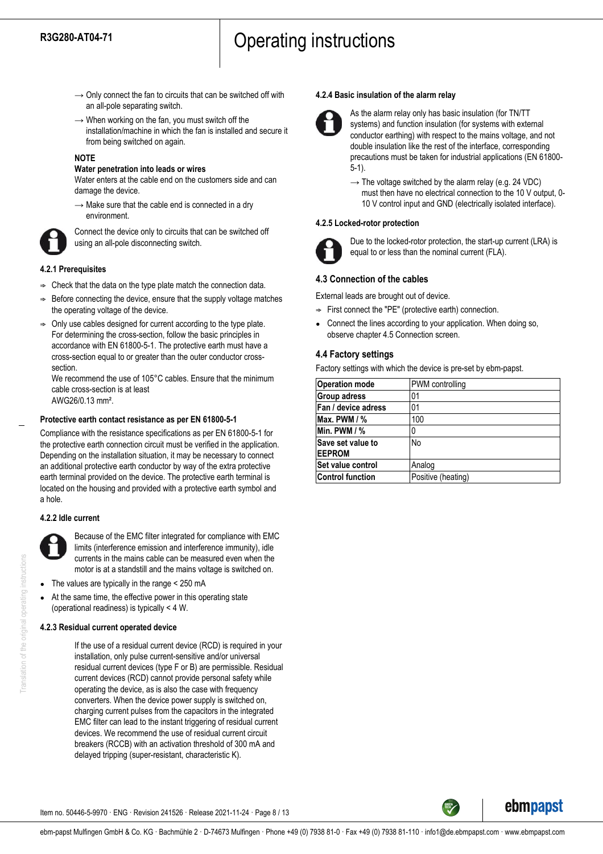- $\rightarrow$  Only connect the fan to circuits that can be switched off with an all-pole separating switch.
- $\rightarrow$  When working on the fan, you must switch off the installation/machine in which the fan is installed and secure it from being switched on again.

#### **NOTE**

## **Water penetration into leads or wires**

Water enters at the cable end on the customers side and can damage the device.

 $\rightarrow$  Make sure that the cable end is connected in a dry environment.



Connect the device only to circuits that can be switched off using an all-pole disconnecting switch.

## **4.2.1 Prerequisites**

- $\Rightarrow$  Check that the data on the type plate match the connection data.
- Before connecting the device, ensure that the supply voltage matches the operating voltage of the device.
- ; Only use cables designed for current according to the type plate. For determining the cross-section, follow the basic principles in accordance with EN 61800-5-1. The protective earth must have a cross-section equal to or greater than the outer conductor crosssection.

We recommend the use of 105°C cables. Ensure that the minimum cable cross-section is at least AWG26/0.13 mm².

## **Protective earth contact resistance as per EN 61800-5-1**

Compliance with the resistance specifications as per EN 61800-5-1 for the protective earth connection circuit must be verified in the application. Depending on the installation situation, it may be necessary to connect an additional protective earth conductor by way of the extra protective earth terminal provided on the device. The protective earth terminal is located on the housing and provided with a protective earth symbol and a hole.

## **4.2.2 Idle current**



Because of the EMC filter integrated for compliance with EMC limits (interference emission and interference immunity), idle currents in the mains cable can be measured even when the motor is at a standstill and the mains voltage is switched on.

- The values are typically in the range  $<$  250 mA
- At the same time, the effective power in this operating state (operational readiness) is typically < 4 W.

## **4.2.3 Residual current operated device**

If the use of a residual current device (RCD) is required in your installation, only pulse current-sensitive and/or universal residual current devices (type F or B) are permissible. Residual current devices (RCD) cannot provide personal safety while operating the device, as is also the case with frequency converters. When the device power supply is switched on, charging current pulses from the capacitors in the integrated EMC filter can lead to the instant triggering of residual current devices. We recommend the use of residual current circuit breakers (RCCB) with an activation threshold of 300 mA and delayed tripping (super-resistant, characteristic K).

## **4.2.4 Basic insulation of the alarm relay**



As the alarm relay only has basic insulation (for TN/TT systems) and function insulation (for systems with external conductor earthing) with respect to the mains voltage, and not double insulation like the rest of the interface, corresponding precautions must be taken for industrial applications (EN 61800- 5-1).

 $\rightarrow$  The voltage switched by the alarm relay (e.g. 24 VDC) must then have no electrical connection to the 10 V output, 0- 10 V control input and GND (electrically isolated interface).

#### **4.2.5 Locked-rotor protection**



Due to the locked-rotor protection, the start-up current (LRA) is equal to or less than the nominal current (FLA).

## **4.3 Connection of the cables**

External leads are brought out of device.

- $\Rightarrow$  First connect the "PE" (protective earth) connection.
- Connect the lines according to your application. When doing so, observe chapter 4.5 Connection screen.

## **4.4 Factory settings**

Factory settings with which the device is pre-set by ebm-papst.

| <b>Operation mode</b>              | PWM controlling    |
|------------------------------------|--------------------|
| <b>Group adress</b>                | 01                 |
| Fan / device adress                | 01                 |
| Max. PWM $/$ %                     | 100                |
| Min. PWM $/$ %                     | 0                  |
| Save set value to<br><b>EEPROM</b> | No                 |
| Set value control                  | Analog             |
| <b>Control function</b>            | Positive (heating) |

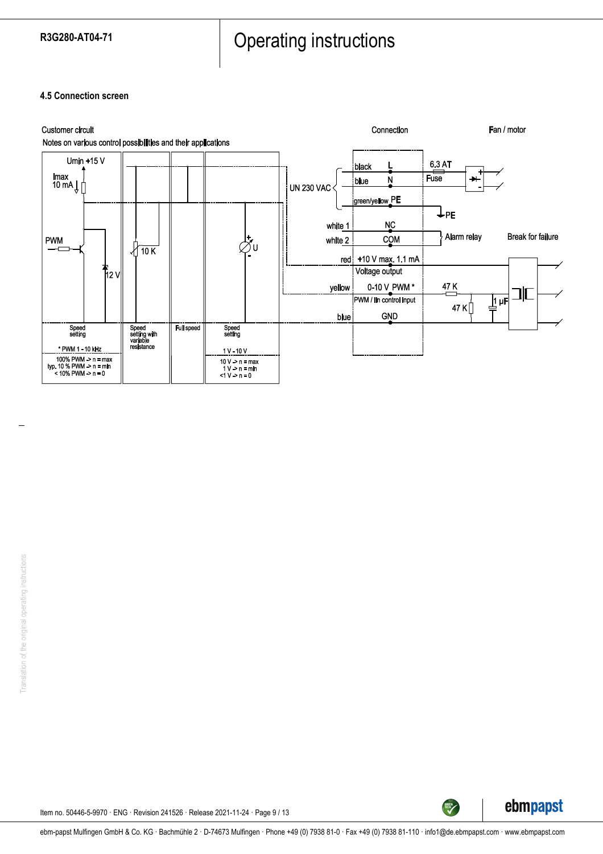**4.5 Connection screen**





TECH

Item no. 50446-5-9970 · ENG · Revision 241526 · Release 2021-11-24 · Page 9 / 13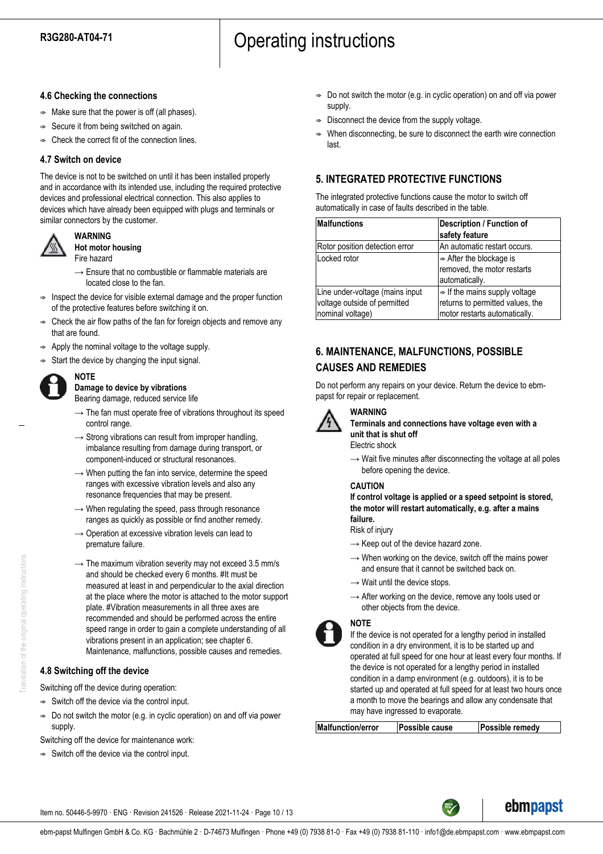## **4.6 Checking the connections**

- $\Rightarrow$  Make sure that the power is off (all phases).
- $\Rightarrow$  Secure it from being switched on again.
- ; Check the correct fit of the connection lines.

## **4.7 Switch on device**

The device is not to be switched on until it has been installed properly and in accordance with its intended use, including the required protective devices and professional electrical connection. This also applies to devices which have already been equipped with plugs and terminals or similar connectors by the customer.



**Hot motor housing** Fire hazard

**WARNING**

- $\rightarrow$  Ensure that no combustible or flammable materials are located close to the fan.
- $\Rightarrow$  Inspect the device for visible external damage and the proper function of the protective features before switching it on.
- $\Rightarrow$  Check the air flow paths of the fan for foreign objects and remove any that are found.
- Apply the nominal voltage to the voltage supply.
- Start the device by changing the input signal.



#### **NOTE Damage to device by vibrations** Bearing damage, reduced service life

- $\rightarrow$  The fan must operate free of vibrations throughout its speed control range.
- $\rightarrow$  Strong vibrations can result from improper handling, imbalance resulting from damage during transport, or component-induced or structural resonances.
- $\rightarrow$  When putting the fan into service, determine the speed ranges with excessive vibration levels and also any resonance frequencies that may be present.
- $\rightarrow$  When regulating the speed, pass through resonance ranges as quickly as possible or find another remedy.
- → Operation at excessive vibration levels can lead to premature failure.
- $\rightarrow$  The maximum vibration severity may not exceed 3.5 mm/s and should be checked every 6 months. #It must be measured at least in and perpendicular to the axial direction at the place where the motor is attached to the motor support plate. #Vibration measurements in all three axes are recommended and should be performed across the entire speed range in order to gain a complete understanding of all vibrations present in an application; see chapter 6. Maintenance, malfunctions, possible causes and remedies.

## **4.8 Switching off the device**

Switching off the device during operation:

- $\Rightarrow$  Switch off the device via the control input.
- $\Rightarrow$  Do not switch the motor (e.g. in cyclic operation) on and off via power supply.

Switching off the device for maintenance work:

 $\Rightarrow$  Switch off the device via the control input.

- $\Rightarrow$  Do not switch the motor (e.g. in cyclic operation) on and off via power supply.
- ; Disconnect the device from the supply voltage.
- ; When disconnecting, be sure to disconnect the earth wire connection last.

## **5. INTEGRATED PROTECTIVE FUNCTIONS**

The integrated protective functions cause the motor to switch off automatically in case of faults described in the table.

| Malfunctions                                                                        | <b>Description / Function of</b><br>safety feature                                                             |
|-------------------------------------------------------------------------------------|----------------------------------------------------------------------------------------------------------------|
| Rotor position detection error                                                      | An automatic restart occurs.                                                                                   |
| Locked rotor                                                                        | $\Rightarrow$ After the blockage is<br>removed, the motor restarts<br>automatically.                           |
| Line under-voltage (mains input<br>voltage outside of permitted<br>nominal voltage) | $\Rightarrow$ If the mains supply voltage<br>returns to permitted values, the<br>motor restarts automatically. |

## **6. MAINTENANCE, MALFUNCTIONS, POSSIBLE CAUSES AND REMEDIES**

Do not perform any repairs on your device. Return the device to ebmpapst for repair or replacement.



## **WARNING**

**Terminals and connections have voltage even with a unit that is shut off**

Electric shock

 $\rightarrow$  Wait five minutes after disconnecting the voltage at all poles before opening the device.

## **CAUTION**

**If control voltage is applied or a speed setpoint is stored, the motor will restart automatically, e.g. after a mains failure.**

Risk of injury

- $\rightarrow$  Keep out of the device hazard zone.
- $\rightarrow$  When working on the device, switch off the mains power and ensure that it cannot be switched back on.
- $\rightarrow$  Wait until the device stops.
- $\rightarrow$  After working on the device, remove any tools used or other objects from the device.

## **NOTE**



If the device is not operated for a lengthy period in installed condition in a dry environment, it is to be started up and operated at full speed for one hour at least every four months. If the device is not operated for a lengthy period in installed condition in a damp environment (e.g. outdoors), it is to be started up and operated at full speed for at least two hours once a month to move the bearings and allow any condensate that may have ingressed to evaporate.

**Malfunction/error Possible cause Possible remedy**



Item no. 50446-5-9970 · ENG · Revision 241526 · Release 2021-11-24 · Page 10 / 13

ebm-papst Mulfingen GmbH & Co. KG · Bachmühle 2 · D-74673 Mulfingen · Phone +49 (0) 7938 81-0 · Fax +49 (0) 7938 81-110 · info1@de.ebmpapst.com · www.ebmpapst.com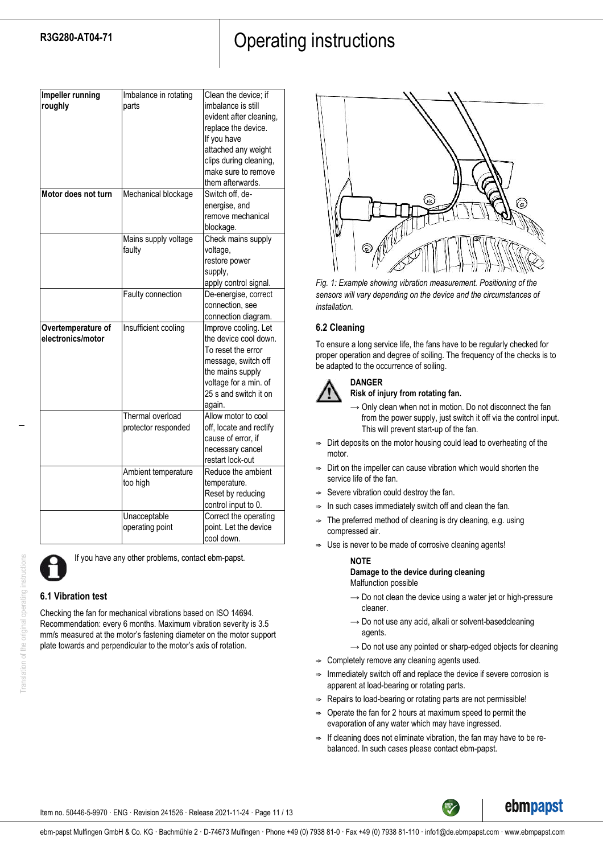| Impeller running<br>roughly             | Imbalance in rotating<br>parts          | Clean the device; if<br>imbalance is still<br>evident after cleaning,<br>replace the device.<br>If you have<br>attached any weight<br>clips during cleaning,<br>make sure to remove<br>them afterwards. |
|-----------------------------------------|-----------------------------------------|---------------------------------------------------------------------------------------------------------------------------------------------------------------------------------------------------------|
| Motor does not turn                     | Mechanical blockage                     | Switch off, de-<br>energise, and<br>remove mechanical<br>blockage.                                                                                                                                      |
|                                         | Mains supply voltage<br>faulty          | Check mains supply<br>voltage,<br>restore power<br>supply,<br>apply control signal.                                                                                                                     |
|                                         | Faulty connection                       | De-energise, correct<br>connection, see<br>connection diagram.                                                                                                                                          |
| Overtemperature of<br>electronics/motor | Insufficient cooling                    | Improve cooling. Let<br>the device cool down.<br>To reset the error<br>message, switch off<br>the mains supply<br>voltage for a min. of<br>25 s and switch it on<br>again.                              |
|                                         | Thermal overload<br>protector responded | Allow motor to cool<br>off, locate and rectify<br>cause of error, if<br>necessary cancel<br>restart lock-out                                                                                            |
|                                         | Ambient temperature<br>too high         | Reduce the ambient<br>temperature.<br>Reset by reducing<br>control input to 0.                                                                                                                          |
|                                         | Unacceptable<br>operating point         | Correct the operating<br>point. Let the device<br>cool down.                                                                                                                                            |



Translation of the original operating

If you have any other problems, contact ebm-papst.

## **6.1 Vibration test**

Checking the fan for mechanical vibrations based on ISO 14694. Recommendation: every 6 months. Maximum vibration severity is 3.5 mm/s measured at the motor's fastening diameter on the motor support plate towards and perpendicular to the motor's axis of rotation.



*Fig. 1: Example showing vibration measurement. Positioning of the sensors will vary depending on the device and the circumstances of installation.*

## **6.2 Cleaning**

To ensure a long service life, the fans have to be regularly checked for proper operation and degree of soiling. The frequency of the checks is to be adapted to the occurrence of soiling.



## **Risk of injury from rotating fan.**

- $\rightarrow$  Only clean when not in motion. Do not disconnect the fan from the power supply, just switch it off via the control input. This will prevent start-up of the fan.
- Dirt deposits on the motor housing could lead to overheating of the motor
- $\Rightarrow$  Dirt on the impeller can cause vibration which would shorten the service life of the fan.
- $\Rightarrow$  Severe vibration could destroy the fan.
- In such cases immediately switch off and clean the fan.
- The preferred method of cleaning is dry cleaning, e.g. using compressed air.
- $\Rightarrow$  Use is never to be made of corrosive cleaning agents!

## **NOTE**

#### **Damage to the device during cleaning** Malfunction possible

- $\rightarrow$  Do not clean the device using a water jet or high-pressure cleaner.
- $\rightarrow$  Do not use any acid, alkali or solvent-basedcleaning agents.
- $\rightarrow$  Do not use any pointed or sharp-edged objects for cleaning
- $\Rightarrow$  Completely remove any cleaning agents used.
- Immediately switch off and replace the device if severe corrosion is apparent at load-bearing or rotating parts.
- Repairs to load-bearing or rotating parts are not permissible!
- $\Rightarrow$  Operate the fan for 2 hours at maximum speed to permit the evaporation of any water which may have ingressed.
- $\Rightarrow$  If cleaning does not eliminate vibration, the fan may have to be rebalanced. In such cases please contact ebm-papst.



Item no. 50446-5-9970 · ENG · Revision 241526 · Release 2021-11-24 · Page 11 / 13

ebm-papst Mulfingen GmbH & Co. KG · Bachmühle 2 · D-74673 Mulfingen · Phone +49 (0) 7938 81-0 · Fax +49 (0) 7938 81-110 · info1@de.ebmpapst.com · www.ebmpapst.com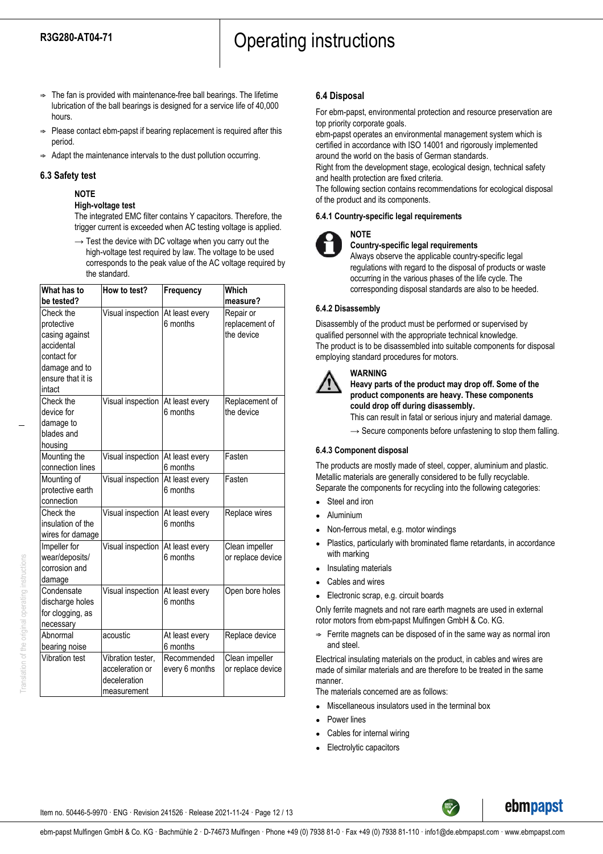- $\Rightarrow$  The fan is provided with maintenance-free ball bearings. The lifetime lubrication of the ball bearings is designed for a service life of 40,000 hours.
- $\Rightarrow$  Please contact ebm-papst if bearing replacement is required after this period.
- $\Rightarrow$  Adapt the maintenance intervals to the dust pollution occurring.

### **6.3 Safety test**

## **NOTE**

#### **High-voltage test**

The integrated EMC filter contains Y capacitors. Therefore, the trigger current is exceeded when AC testing voltage is applied.

 $\rightarrow$  Test the device with DC voltage when you carry out the high-voltage test required by law. The voltage to be used corresponds to the peak value of the AC voltage required by the standard.

| What has to<br>be tested? | How to test?                       | Frequency      | Which<br>measure? |
|---------------------------|------------------------------------|----------------|-------------------|
| Check the                 | Visual inspection                  | At least every | Repair or         |
| protective                |                                    | 6 months       | replacement of    |
| casing against            |                                    |                | the device        |
| accidental                |                                    |                |                   |
| contact for               |                                    |                |                   |
| damage and to             |                                    |                |                   |
| ensure that it is         |                                    |                |                   |
| intact                    |                                    |                |                   |
| Check the                 | Visual inspection   At least every |                | Replacement of    |
| device for                |                                    | 6 months       | the device        |
| damage to                 |                                    |                |                   |
| blades and                |                                    |                |                   |
| housing                   |                                    |                |                   |
| Mounting the              | Visual inspection   At least every |                | Fasten            |
| connection lines          |                                    | 6 months       |                   |
| Mounting of               | Visual inspection                  | At least every | Fasten            |
| protective earth          |                                    | 6 months       |                   |
| connection                |                                    |                |                   |
| Check the                 | Visual inspection                  | At least every | Replace wires     |
| insulation of the         |                                    | 6 months       |                   |
| wires for damage          |                                    |                |                   |
| Impeller for              | Visual inspection                  | At least every | Clean impeller    |
| wear/deposits/            |                                    | 6 months       | or replace device |
| corrosion and             |                                    |                |                   |
| damage                    |                                    |                |                   |
| Condensate                | Visual inspection At least every   |                | Open bore holes   |
| discharge holes           |                                    | 6 months       |                   |
| for clogging, as          |                                    |                |                   |
| necessary                 |                                    |                |                   |
| Abnormal                  | acoustic                           | At least every | Replace device    |
| bearing noise             |                                    | 6 months       |                   |
| <b>Vibration test</b>     | Vibration tester,                  | Recommended    | Clean impeller    |
|                           | acceleration or                    | every 6 months | or replace device |
|                           | deceleration                       |                |                   |
|                           | measurement                        |                |                   |

## **6.4 Disposal**

For ebm-papst, environmental protection and resource preservation are top priority corporate goals.

ebm-papst operates an environmental management system which is certified in accordance with ISO 14001 and rigorously implemented around the world on the basis of German standards.

Right from the development stage, ecological design, technical safety and health protection are fixed criteria.

The following section contains recommendations for ecological disposal of the product and its components.

#### **6.4.1 Country-specific legal requirements**



#### **Country-specific legal requirements**

Always observe the applicable country-specific legal regulations with regard to the disposal of products or waste occurring in the various phases of the life cycle. The corresponding disposal standards are also to be heeded.

### **6.4.2 Disassembly**

Disassembly of the product must be performed or supervised by qualified personnel with the appropriate technical knowledge. The product is to be disassembled into suitable components for disposal employing standard procedures for motors.

## **WARNING**

## **Heavy parts of the product may drop off. Some of the product components are heavy. These components could drop off during disassembly.**

This can result in fatal or serious injury and material damage.

 $\rightarrow$  Secure components before unfastening to stop them falling.

## **6.4.3 Component disposal**

The products are mostly made of steel, copper, aluminium and plastic. Metallic materials are generally considered to be fully recyclable. Separate the components for recycling into the following categories:

- Steel and iron
- **Aluminium**
- Non-ferrous metal, e.g. motor windings
- Plastics, particularly with brominated flame retardants, in accordance with marking
- Insulating materials
- Cables and wires
- Electronic scrap, e.g. circuit boards

Only ferrite magnets and not rare earth magnets are used in external rotor motors from ebm-papst Mulfingen GmbH & Co. KG.

 $\Rightarrow$  Ferrite magnets can be disposed of in the same way as normal iron and steel.

Electrical insulating materials on the product, in cables and wires are made of similar materials and are therefore to be treated in the same manner.

The materials concerned are as follows:

- Miscellaneous insulators used in the terminal box
- Power lines
- Cables for internal wiring
- Electrolytic capacitors